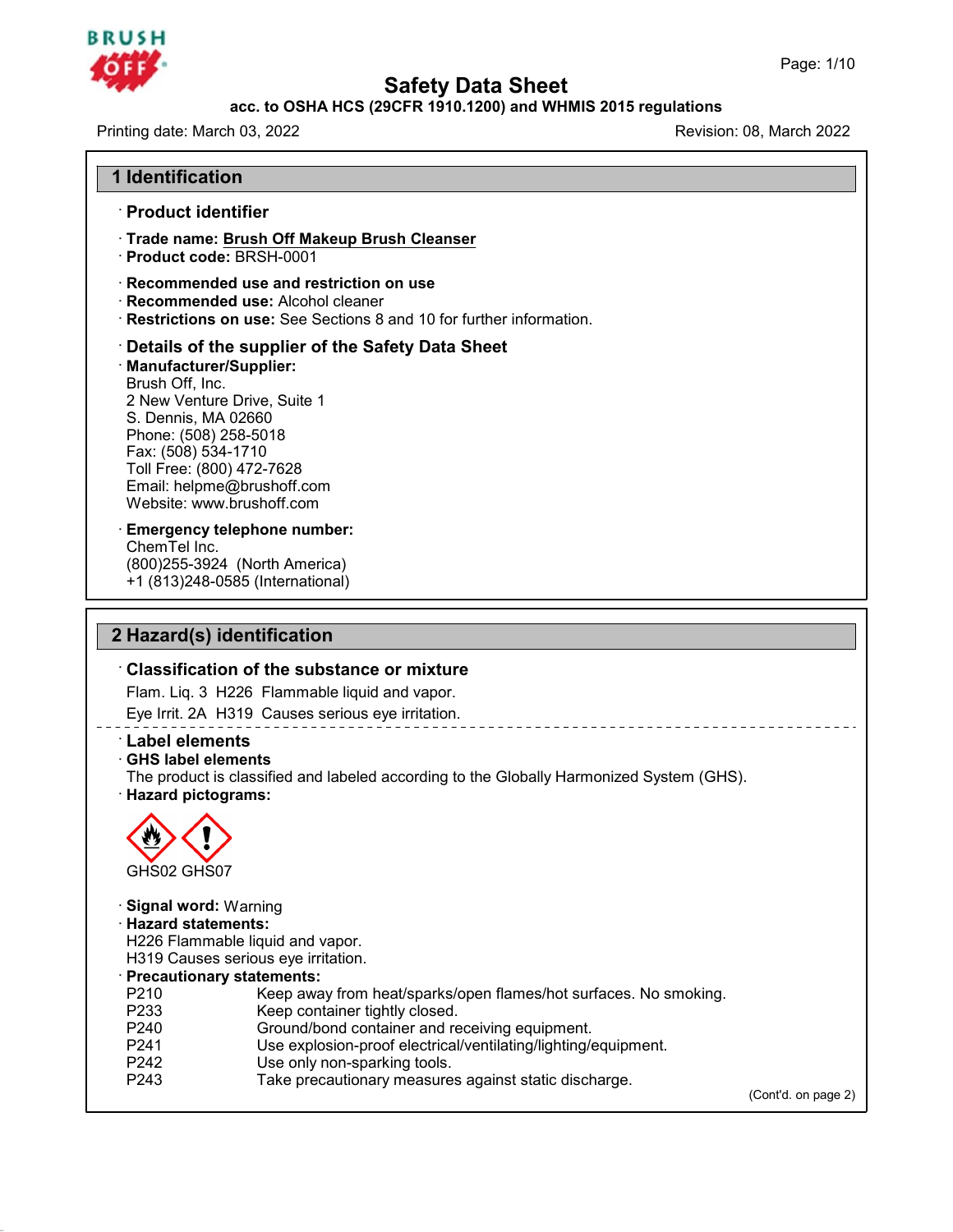### **BRUSH**

### **Safety Data Sheet<br>PCFR 1910.1200) and WHMIS 2015 regulat<br>Re** Page: 1/10<br>**acc. to OSHA HCS (29CFR 1910.1200) and WHMIS 2015 regulations**<br>Revision: 08. March 2022

Printing date: March 03, 2022 **1 11 Identification**<br> **11 Identification**<br> **11 Product identifier** 

- Framedian Community of the United State<br>
and Product identifier<br>
→ Product identifier<br>
→ Trade name: Brush Off Make **Example 1 Identification<br>• Product identifier<br>• Trade name: <u>Brush Off Makeup Brush Cleanser</u><br>• Product code: BRSH-0001 Consider School School School School School School School School School School School School School School School School School School School School School School School School School School School School School School Sc Product identifier<br>
Trade name: Brush Off Makeup Brush Cleanser<br>
Product code: BRSH-0001<br>
Recommended use and restriction on use<br>
Recommended use: Alcohol cleaner<br>
Restrictions on use: See Sections 8 and 10 for further in Product Identifier<br>
Trade name: <u>Brush Off Makeup Brush Cleans</u><br>
Product code: BRSH-0001<br>
Recommended use and restriction on use<br>
Recommended use: Alcohol cleaner<br>
Restrictions on use: See Sections 8 and 10 for**
- 
- 
- 
- 

• **Trade name: <u>Brush Off Makeup Brush Cleanser</u><br>• Product code: BRSH-0001<br>• Recommended use and restriction on use<br>• Recommended use: Alcohol cleaner<br>• Restrictions on use: See Sections 8 and 10 for further information.<br>•** · **Manufacturer/Supplier:** Recommended use: Alcohol<br>Restrictions on use: See Se<br>Details of the supplier of<br>Manufacturer/Supplier:<br>Brush Off, Inc.<br>2 New Venture Drive, Suite 1<br>S. Dennis MA 02660 Restrictions on use: See Sections 8 and 10 for<br>
Details of the supplier of the Safety Dat<br>
Manufacturer/Supplier:<br>
Brush Off, Inc.<br>
2 New Venture Drive, Suite 1<br>
S. Dennis, MA 02660<br>
Phone: (508) 258-5018 **Details of the supplier of the<br>
Manufacturer/Supplier:**<br>
Brush Off, Inc.<br>
2 New Venture Drive, Suite 1<br>
S. Dennis, MA 02660<br>
Phone: (508) 258-5018<br>
Fax: (508) 534-1710 Details of the supplier of th<br>Manufacturer/Supplier:<br>Brush Off, Inc.<br>2 New Venture Drive, Suite 1<br>S. Dennis, MA 02660<br>Phone: (508) 258-5018<br>Fax: (508) 534-1710<br>Toll Free: (800) 472-7628 Manufacturer/Supplier:<br>Brush Off, Inc.<br>2 New Venture Drive, Suite 1<br>S. Dennis, MA 02660<br>Phone: (508) 258-5018<br>Fax: (508) 534-1710<br>Toll Free: (800) 472-7628<br>Email: helpme@brushoff.com Brush Off, Inc.<br>2 New Venture Drive, Suite 1<br>S. Dennis, MA 02660<br>Phone: (508) 258-5018<br>Fax: (508) 534-1710<br>Toll Free: (800) 472-7628<br>Email: helpme@brushoff.com<br>Website: www.brushoff.com 2 New Venture Drive, Suite 1<br>S. Dennis, MA 02660<br>Phone: (508) 258-5018<br>Fax: (508) 534-1710<br>Toll Free: (800) 472-7628<br>Email: helpme@brushoff.com<br>Website: www.brushoff.com S. Dennis, MA 02660<br>Phone: (508) 258-5018<br>Fax: (508) 534-1710<br>Toll Free: (800) 472-7628<br>Email: helpme@brushoff.com<br>Website: www.brushoff.com<br>**Emergency telephone number:** Fax: (508) 534-1710<br>Toll Free: (800) 472-7628<br>Email: helpme@brushoff.com<br>Website: www.brushoff.com<br>**Emergency telephone number:**<br>ChemTel Inc.<br>(800)255-3924 (North America)

Toll Free: (800) 472-7628<br>Toll Free: (800) 472-7628<br>Email: helpme@brushoff.cor<br>Website: www.brushoff.com<br>Emergency telephone num<br>ChemTel Inc.<br>(800)255-3924 (North Ameri Formall: helpme@brushoff.com<br>Email: helpme@brushoff.com<br>Website: www.brushoff.com<br>Emergency telephone number:<br>ChemTel Inc.<br>(800)255-3924 (North America)<br>+1 (813)248-0585 (International) Email: Reprinciple business.<br>
Website: www.brushoff.com<br>
Emergency telephone number:<br>
ChemTel Inc.<br>
(800)255-3924 (North America)<br>+1 (813)248-0585 (International) Emergency telephone number:<br>
ChemTel Inc.<br>
(800)255-3924 (North America)<br>
+1 (813)248-0585 (International)<br> **2 Hazard(s) identification**<br>
Classification of the substance or m

### <sup>2</sup> +1 (813)248-0585 (International)<br> **Classification of the substance or mixture**<br>
Flam. Liq. 3 H226 Flammable liquid and vapor.<br>
Eve Irrit 20, H319 Causes serious ave irritation **Hazard(s) identification<br>Classification of the substance or mixture**<br>Flam. Liq. 3 H226 Flammable liquid and vapor.<br>Eye Irrit. 2A H319 Causes serious eye irritation.

**Example 2 Hazard(s) identification**<br>
Classification of the substance or mixture<br>
Flam. Liq. 3 H226 Flammable liquid and vapor.<br>
Eye Irrit. 2A H319 Causes serious eye irritation.<br> **Label elements**<br> **CHS label elements**<br>
Th **Elam. Liq. 3 H226 Flammable<br>
Eye Irrit. 2A H319 Causes se<br>
<b>Label elements**<br> **CHS label elements**<br>
The product is classified and later Hazard pictograms: Flam. Liq. 3 H226 Flammable liquid and vapor.<br>
Eye Irrit. 2A H319 Causes serious eye irritation.<br> **Cabel elements**<br> **CHS label elements**<br>
The product is classified and labeled according to the Globally Harmonized System (G



45.2.2

GHS02 GHS07<br>**Signal word:** Warning<br>**· Hazard statements:**<br>H226 Flammable liquid and vap **· Signal word:** Warning<br>**· Hazard statements:**<br>H226 Flammable liquid and vapor.<br>H319 Causes serious eye irritation. GHS02 GHS07<br>
Signal word: Warning<br>
Hazard statements:<br>
H226 Flammable liquid and vapor.<br>
H319 Causes serious eye irritation.<br>
Precautionary statements: GHS02 GHS07<br> **Signal word:** Warning<br> **Hazard statements:**<br>
H226 Flammable liquid and vapor.<br>
H319 Causes serious eye irritation.<br> **Precautionary statements:**<br>
P210 Keep away from heat/spar<br>
P233 Keep container tightly clos Signal word: Warning<br>
Hazard statements:<br>
H226 Flammable liquid and vapor.<br>
H319 Causes serious eye irritation.<br>
Precautionary statements:<br>
P210 Keep away from heat/sparks/open flames/hot surfaces. No smoking.<br>
R233 Keep c **Hazard statements:**<br>
H226 Flammable liquid and vapor.<br>
H319 Causes serious eye irritation.<br> **Precautionary statements:**<br>
P210 Keep away from heat/sparks/open flames<br>
P233 Keep container tightly closed.<br>
P240 Ground/bond c H226 Flammable liquid and vapor.<br>
H319 Causes serious eye irritation.<br> **Precautionary statements:**<br>
P210 Keep away from heat/sparks/open flames/hot surfaces. N<br>
P233 Keep container tightly closed.<br>
P240 Ground/bond contain H319 Causes serious eye irritation.<br> **Precautionary statements:**<br>
P210 Keep away from heat/sparks/open flames/hot surfaces. No smok<br>
P233 Keep container tightly closed.<br>
P240 Ground/bond container and receiving equipment.<br> Precautionary statements:<br>
P210 Keep away from heat/sparks/open flames/hot surfaces. No smoking.<br>
P233 Keep container tightly closed.<br>
P240 Ground/bond container and receiving equipment.<br>
P241 Use explosion-proof electrica P210 Keep away from heat/sparks/open flames/hot surfaces. No smot<br>
P233 Keep container tightly closed.<br>
P240 Ground/bond container and receiving equipment.<br>
P241 Use explosion-proof electrical/ventilating/lighting/equipmen

- 
- 
- 

(Cont'd. on page 2)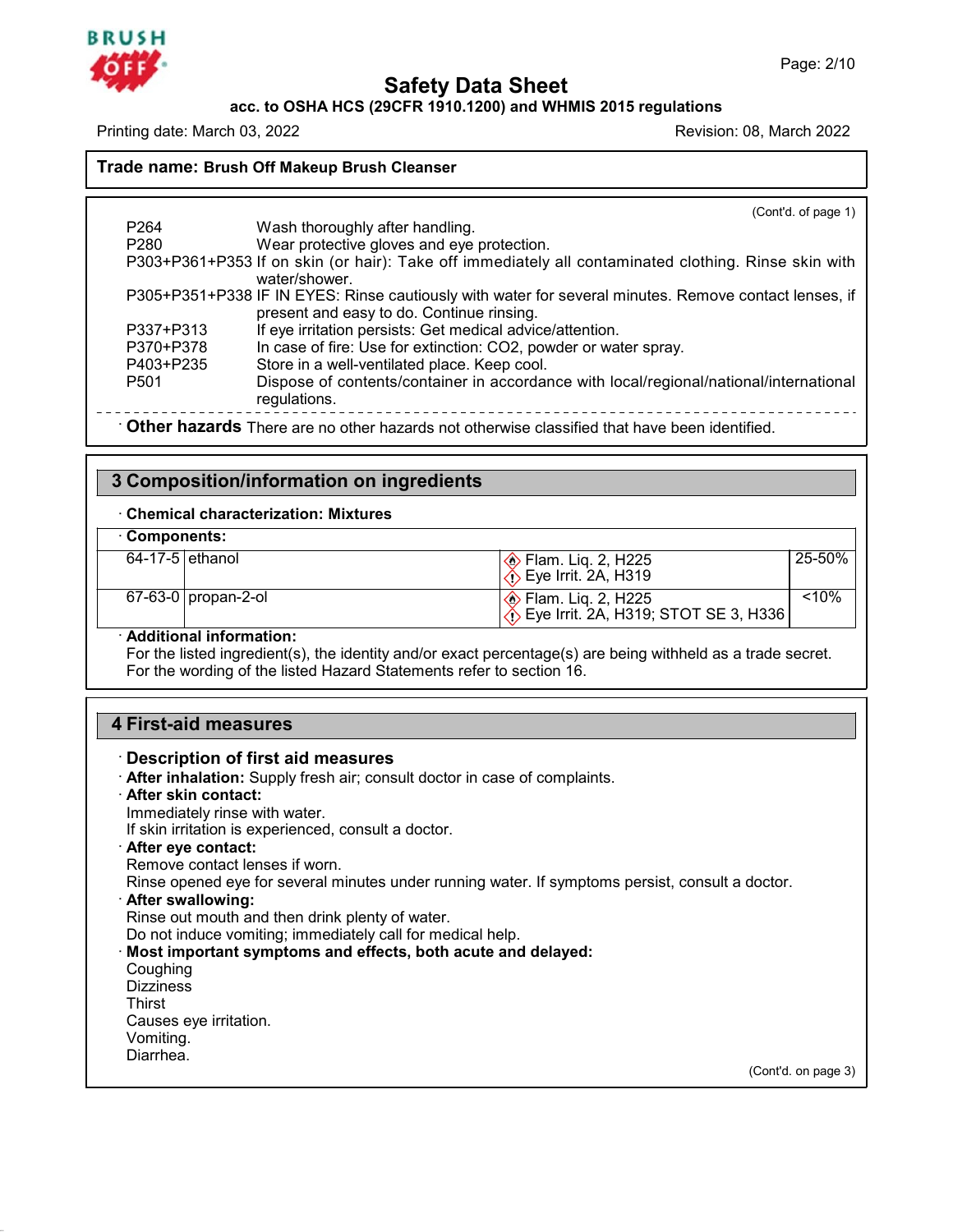### **BRUSH**

**Safety Data Sheet acc. to OSHA HCS (29CFR 1910.1200) and WHMIS 2015 regulations**

Printing date: March 03, 2022 **Revision: 08, March 2022** Revision: 08, March 2022

**Safety Data S**<br> **Recession CODE ACTS (29 CFR 1910.1200) and Printing date:** March 03, 2022<br> **Trade name: Brush Off Makeup Brush Cleanser** 

(Cont'd. of page 1) may date: Materi 33, 2022<br> **de name: Brush Off Makeup Brush Cleanser**<br>
P264 Wash thoroughly after handling.<br>
P280 Wear protective gloves and eye protection<br>
P303+P361+P353 If on skin (or hair): Take off immediatel de name: Brush Off Makeup Brush Cleanser<br>
Mash thoroughly after handling.<br>
P280 Wear protective gloves and eye protection.<br>
P303+P361+P353 If on skin (or hair): Take off immediately all cont P264 Wash thoroughly after handling.<br>
P264 Wash thoroughly after handling.<br>
P280 Wear protective gloves and eye protection.<br>
P303+P361+P353 If on skin (or hair): Take off immediately all contaminated clothing. Rinse skin w water/shower. Wash thoroughly after handling.<br>
P264 Wear protective gloves and eye protection.<br>
P303+P361+P353 If on skin (or hair): Take off immediately all contaminated clothing. Rinse skin with<br>
water/shower.<br>
P305+P351+P338 IF IN EY Wash thoroughly after handling.<br>
Wear protective gloves and eye protection.<br>
If on skin (or hair): Take off immediately all contaminated c<br>
water/shower.<br>
IF IN EYES: Rinse cautiously with water for several minutes. R<br>
pre Wear protective gloves and eye protection.<br>
P303+P361+P353 If on skin (or hair): Take off immediately all contamina<br>
water/shower.<br>
P305+P351+P338 IF IN EYES: Rinse cautiously with water for several minut<br>
present and easy P303+P361+P353 If on skin (or hair): Take off immediately all contaminated clothing. Rin<br>
water/shower.<br>
P305+P351+P338 IF IN EYES: Rinse cautiously with water for several minutes. Remove conta<br>
present and easy to do. Con water/shower.<br>
P305+P351+P338 IF IN EYES: Rinse cautiously with water for several minu<br>
present and easy to do. Continue rinsing.<br>
P377+P313 If eye irritation persists: Get medical advice/attention.<br>
P370+P378 In case of f P305+P351+P338 IF IN EYES: Rinse cautiously with water for several minutes. Remove contact lenses, if<br>
present and easy to do. Continue rinsing.<br>
P370+P313 If eye irritation persists: Get medical advice/attention.<br>
P370+P3 regulations. P337+P313<br> **Particular COLOGY EXECUTE COLOGY COLOGY COLOGY COLOGY**<br>
P403+P235 Store in a well-ventilated place. Keep cool.<br>
P501 Dispose of contents/container in accordance with local/regional/national/internation<br>
regulat P501 Dispose of contents/container in accordance<br> **2** Composition of the case is not other hazards of otherwise class<br> **3 Composition/information on ingredients**<br> **3 Composition/information on ingredients**<br> **1** Chemical ch

• **Other hazards** There are no other hazards not otherwise classified that have been identified.<br> **3 Composition/information on ingredients**<br>
• Chemical characterization: Mixtures

| 3 Composition/information on ingredients                                                          |                                                                                                             |          |  |
|---------------------------------------------------------------------------------------------------|-------------------------------------------------------------------------------------------------------------|----------|--|
| $\cdot$ Chemical characterization: Mixtures                                                       |                                                                                                             |          |  |
| Components:                                                                                       |                                                                                                             |          |  |
| $64-17-5$ ethanol                                                                                 |                                                                                                             | 25-50%   |  |
| $67 - 63 - 0$   propan-2-ol                                                                       | ightham. Liq. 2, H225<br>∴> Eye Irrit. 2A, H319; STOT SE 3, H336                                            | $< 10\%$ |  |
| · Additional information:<br>For the wording of the listed Hazard Statements refer to section 16. | For the listed ingredient(s), the identity and/or exact percentage(s) are being withheld as a trade secret. |          |  |

**4 Additional information:**<br>
For the listed ingredient(s), the iden<br>
For the wording of the listed Hazard<br> **4 First-aid measures**<br> **Description of first aid measures** For the wording of the listed Hazard Statements refer to section 16.<br>**4 First-aid measures** 

45.2.2

| <b>4 First-aid measures</b>                                                                      |  |  |
|--------------------------------------------------------------------------------------------------|--|--|
| <b>Description of first aid measures</b>                                                         |  |  |
| · After inhalation: Supply fresh air; consult doctor in case of complaints.                      |  |  |
| · After skin contact:                                                                            |  |  |
| Immediately rinse with water.                                                                    |  |  |
| If skin irritation is experienced, consult a doctor.                                             |  |  |
| · After eye contact:                                                                             |  |  |
| Remove contact lenses if worn.                                                                   |  |  |
| Rinse opened eye for several minutes under running water. If symptoms persist, consult a doctor. |  |  |
| · After swallowing:                                                                              |  |  |
| Rinse out mouth and then drink plenty of water.                                                  |  |  |
| Do not induce vomiting; immediately call for medical help.                                       |  |  |
| Most important symptoms and effects, both acute and delayed:                                     |  |  |
| Coughing                                                                                         |  |  |
| <b>Dizziness</b>                                                                                 |  |  |
| Thirst                                                                                           |  |  |
| Causes eye irritation.                                                                           |  |  |
| Vomiting.                                                                                        |  |  |
| Diarrhea.                                                                                        |  |  |
| (Cont'd. on page 3)                                                                              |  |  |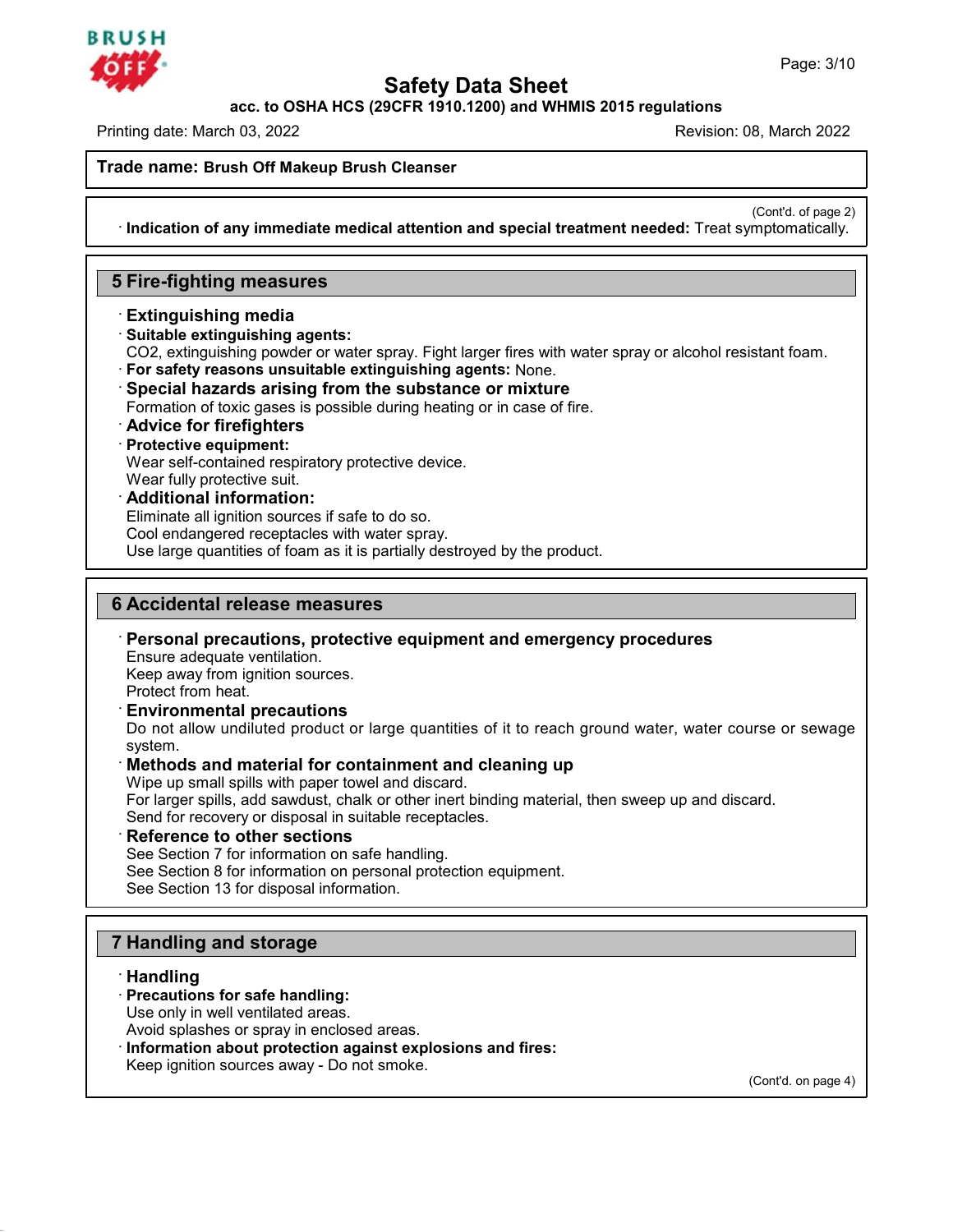

**Safety Data Sheet<br>PCFR 1910.1200) and WHMIS 2015 regulat<br>Re acc. to OSHA HCS (29CFR 1910.1200) and WHMIS 2015 regulations**

Printing date: March 03, 2022 Revision: 08, March 2022

**Safety Data S**<br> **Recession CODE ACTS (29 CFR 1910.1200) and Printing date:** March 03, 2022<br> **Trade name: Brush Off Makeup Brush Cleanser** 

(Cont'd. of page 2)<br>
mptomatically. · **Indication of any immediate medical attention and special treatment needed:** Treat symptomatically. **11**<br>
Indication of any immediate medical a<br> **5 Fire-fighting measures**<br> **Extinguishing media Extinguishing measures**<br> **Extinguishing measures**<br> **Extinguishing media**<br> **Extinguishing media**<br> **Extinguishing agents:**<br>
CO2, extinguishing powder or water sp

- 
- 
- **Fire-fighting measures<br>· Extinguishing media<br>· Suitable extinguishing agents:<br>· CO2, extinguishing powder or water spray. I<br>· For safety reasons unsuitable extinguish** Fire-fighting measures<br>
Extinguishing media<br>
Suitable extinguishing agents:<br>
CO2, extinguishing powder or water spray. Fight larger fires with water spray or alcohol resistant foam.<br>
For safety reasons unsuitable extingui **Extinguishing media**<br> **Suitable extinguishing agents:**<br>
CO2, extinguishing powder or water spray. Fight larger fires with water spray or alco<br> **For safety reasons unsuitable extinguishing agents:** None.<br> **Special hazards**
- 
- 
- For safety reasons unsuitable extinguishing agents: None.<br>
Special hazards arising from the substance or mixture<br>
Formation of toxic gases is possible during heating or in case of fire.<br>
Advice for firefighters<br>
Protective
- 

For safety reasons unsuitable<br> **Special hazards arising fr**<br> **Protective equipment:**<br> **Protective equipment:**<br>
Wear self-contained respirator<br>
Wear fully protective suit. Special nazards arising from the substance or mix<br>Formation of toxic gases is possible during heating or in case<br> **Advice for firefighters**<br> **Protective equipment:**<br>
Wear self-contained respiratory protective device.<br>
Wear **Protective equipment:**<br>Wear self-contained respiratory protective device.<br>Wear fully protective suit.<br>**Additional information:**<br>Eliminate all ignition sources if safe to do so.<br>Cool endangered receptacles with water spray

- 
- 

Eliminate all ignition sources if safe to do so.<br>Cool endangered receptacles with water spray.<br>Use large quantities of foam as it is partially destroyed by the product.

**Eliminate all ignition sources if safe to do so.**<br>
Cool endangered receptacles with water spray.<br>
Use large quantities of foam as it is partially dest<br> **6 Accidental release measures**<br>
Personal precautions, protective equ Use large quantities of foam as it is partially destroyed by the product.<br> **BACCIDENTIAL PRECAUTE DEASE PRECAUTE:**<br> **Personal precautions, protective equipment and emergency procedures**<br>
Ensure adequate ventilation.<br>
Keep

**Accidental release measures<br>Personal precautions, protectiventilation.**<br>Keep away from ignition sources.<br>Protect from heat Accidental release measures<br>Personal precautions, protective equently<br>Ensure adequate ventilation.<br>Keep away from ignition sources.<br>Protect from heat.<br>Environmental procautions

**Example 12 Section 12 Section 12 Section**<br> **Personal precautions, protective eq**<br>
Ensure adequate ventilation.<br>
Keep away from ignition sources.<br>
Protect from heat.<br> **Environmental precautions**<br>
Do not allow undiluted pro **Personal precautions, protective equipment and emergency procedures**<br>Ensure adequate ventilation.<br>Keep away from ignition sources.<br>Protect from heat.<br>**Environmental precautions**<br>Do not allow undiluted product or large qua system. **Environmental precautions**<br> **Containmental precautions**<br>
Do not allow undiluted product or large quantities of it to reach ground water, w<br>
system.<br> **Methods and material for containment and cleaning up**<br>
Wipe up small sp **Environmental precautions**<br>Do not allow undiluted product or large quantities of it to reach ground water, water course or sewage<br>system.<br>**Methods and material for containment and cleaning up**<br>Wipe up small spills with pa

Do not allow undiluted product or large quantities of it to<br>system.<br> **Methods and material for containment and cleanin**<br>
Wipe up small spills with paper towel and discard.<br>
For larger spills, add sawdust, chalk or other in **Methods and material for containment and clear**<br>Wipe up small spills with paper towel and discard.<br>For larger spills, add sawdust, chalk or other inert binding<br>Send for recovery or disposal in suitable receptacles.<br>**Refer** Wipe up small spills with paper towel and discard.<br>For larger spills, add sawdust, chalk or other inert binding material, then<br>Send for recovery or disposal in suitable receptacles.<br>**Reference to other sections**<br>See Sectio

**Reference to other sections**<br>
See Section 7 for information on safe hal<br>
See Section 8 for information on personal<br>
See Section 13 for disposal information.<br> **7 Handling and storage**<br> **Handling** 

Send for recovery or disposal in suitable receptacles.<br> **Reference to other sections**<br>
See Section 7 for information on safe handling.<br>
See Section 8 for information on personal protection equipment.<br>
See Section 13 for di

45.2.2

- · **Handling**
	-
- **Handling and storage<br>· <b>Handling**<br>· **Precautions for safe handling:**<br>Use only in well ventilated areas.<br>Avoid splashes or spray in enclosed area **Handling and storage<br>
Handling<br>
Precautions for safe handling:**<br>
Use only in well ventilated areas.<br>
Avoid splashes or spray in enclosed areas.<br>
Information about protection against expl
- **Handling and storage<br>
· Handling<br>
· Precautions for safe handling:**<br>
Use only in well ventilated areas.<br>
Avoid splashes or spray in enclosed areas.<br> **· Information about protection against explosions and fires:**<br>
Keep ign Use only in well ventilated areas.<br>Avoid splashes or spray in enclosed areas.<br>Information about protection against explosions and fires:<br>Keep ignition sources away - Do not smoke.

(Cont'd. on page 4)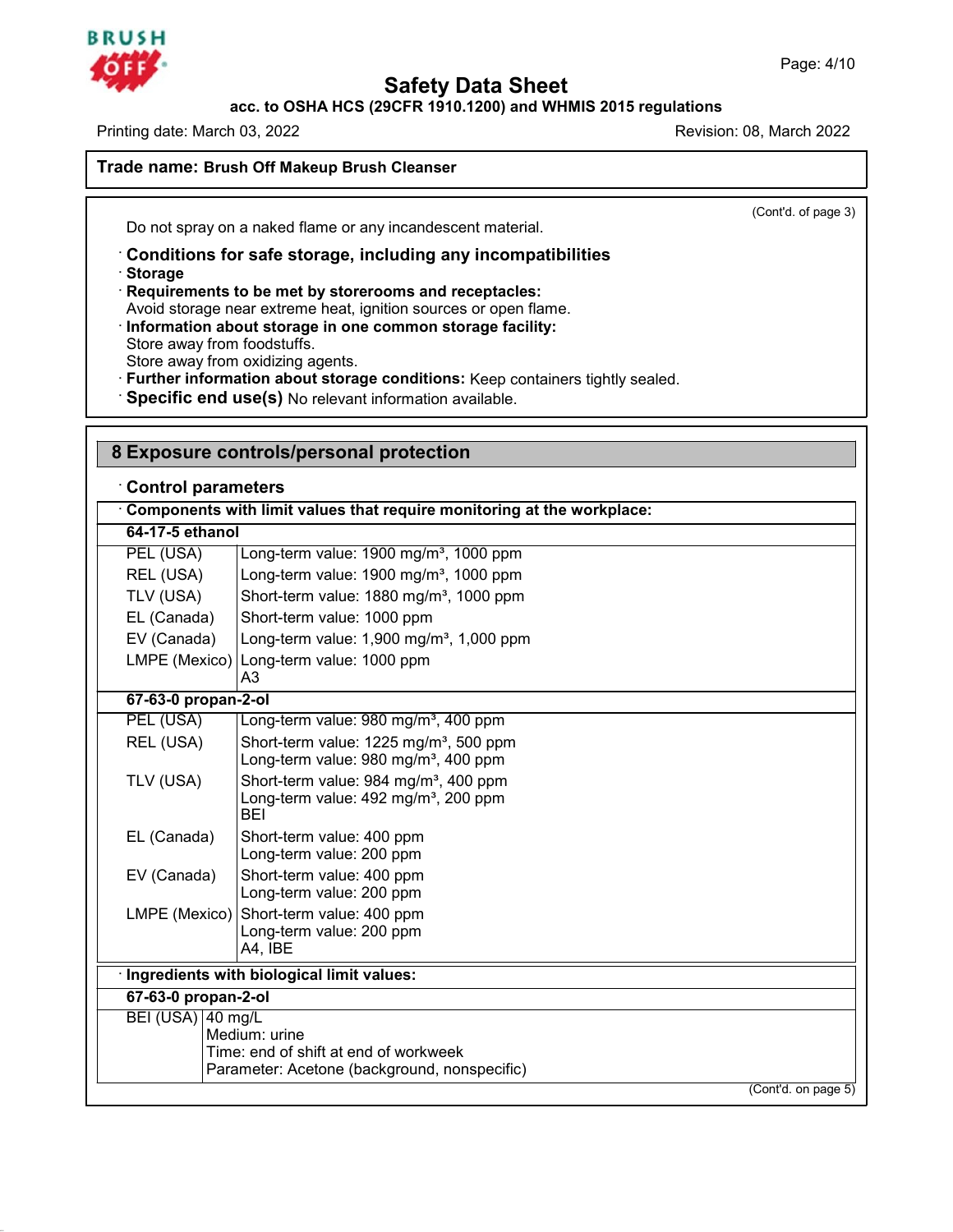

# **Safety Data Sheet acc. to OSHA HCS (29CFR 1910.1200) and WHMIS 2015 regulations**

Printing date: March 03, 2022 **Revision: 08, March 2022** Revision: 08, March 2022

**Safety Data Sheet**<br>acc. to OSHA HCS (29CFR 1910.1200) and WHM<br>Printing date: March 03, 2022<br>Trade name: Brush Off Makeup Brush Cleanser

(Cont'd. of page 3)

**Example 12 and 2011 On the name:**<br> **Do not spray on a naked flame or any incandescent material.**<br> **Conditions for safe storage, including any incompatibilities**<br>
• **Requirements to be met by storerooms and receptacles:** Do not spray on a naked flame or any incandescent material.<br> **Conditions for safe storage, including any incompatibili**<br> **Conditions for safe storage, including any incompatibili**<br> **Requirements to be met by storerooms an** Do not spray on a naked flame or any incandescent material.<br> **Conditions for safe storage, including any incompatibilities**<br> **Requirements to be met by storerooms and receptacles:**<br>
Avoid storage near extreme heat, ignitio

· **Storage**

45.2.2

Requirements to be met by storerooms and receptacles:<br>Avoid storage near extreme heat, ignition sources or open flame.<br>Information about storage in one common storage facility:<br>Store away from oxidizing agents.

Storage<br>
Requirements to be met by storerooms and receptacles:<br>
Avoid storage near extreme heat, ignition sources or open flame.<br>
Information about storage in one common storage facility:<br>
Store away from oxidizing agents. **Further information about storage conditions:** Keep containers tightly sealed.

· Specific end use(s) No relevant information available.

| <b>Control parameters</b><br>Components with limit values that require monitoring at the workplace: |                                                                                                                     |  |  |  |
|-----------------------------------------------------------------------------------------------------|---------------------------------------------------------------------------------------------------------------------|--|--|--|
|                                                                                                     |                                                                                                                     |  |  |  |
| PEL (USA)                                                                                           | Long-term value: 1900 mg/m <sup>3</sup> , 1000 ppm                                                                  |  |  |  |
| REL (USA)                                                                                           | Long-term value: 1900 mg/m <sup>3</sup> , 1000 ppm                                                                  |  |  |  |
| TLV (USA)                                                                                           | Short-term value: 1880 mg/m <sup>3</sup> , 1000 ppm                                                                 |  |  |  |
| EL (Canada)                                                                                         | Short-term value: 1000 ppm                                                                                          |  |  |  |
| EV (Canada)                                                                                         | Long-term value: $1,900$ mg/m <sup>3</sup> , $1,000$ ppm                                                            |  |  |  |
|                                                                                                     | LMPE (Mexico) Long-term value: 1000 ppm<br>A3                                                                       |  |  |  |
| 67-63-0 propan-2-ol                                                                                 |                                                                                                                     |  |  |  |
| PEL (USA)                                                                                           | Long-term value: 980 mg/m <sup>3</sup> , 400 ppm                                                                    |  |  |  |
| REL (USA)                                                                                           | Short-term value: 1225 mg/m <sup>3</sup> , 500 ppm<br>Long-term value: 980 mg/m <sup>3</sup> , 400 ppm              |  |  |  |
| TLV (USA)                                                                                           | Short-term value: 984 mg/m <sup>3</sup> , 400 ppm<br>Long-term value: 492 mg/m <sup>3</sup> , 200 ppm<br><b>BEI</b> |  |  |  |
| EL (Canada)                                                                                         | Short-term value: 400 ppm<br>Long-term value: 200 ppm                                                               |  |  |  |
| EV (Canada)                                                                                         | Short-term value: 400 ppm<br>Long-term value: 200 ppm                                                               |  |  |  |
|                                                                                                     | LMPE (Mexico) Short-term value: 400 ppm<br>Long-term value: 200 ppm<br>A4, IBE                                      |  |  |  |
|                                                                                                     | · Ingredients with biological limit values:                                                                         |  |  |  |
| 67-63-0 propan-2-ol                                                                                 |                                                                                                                     |  |  |  |
| BEI (USA) 40 mg/L                                                                                   | Medium: urine<br>Time: end of shift at end of workweek<br>Parameter: Acetone (background, nonspecific)              |  |  |  |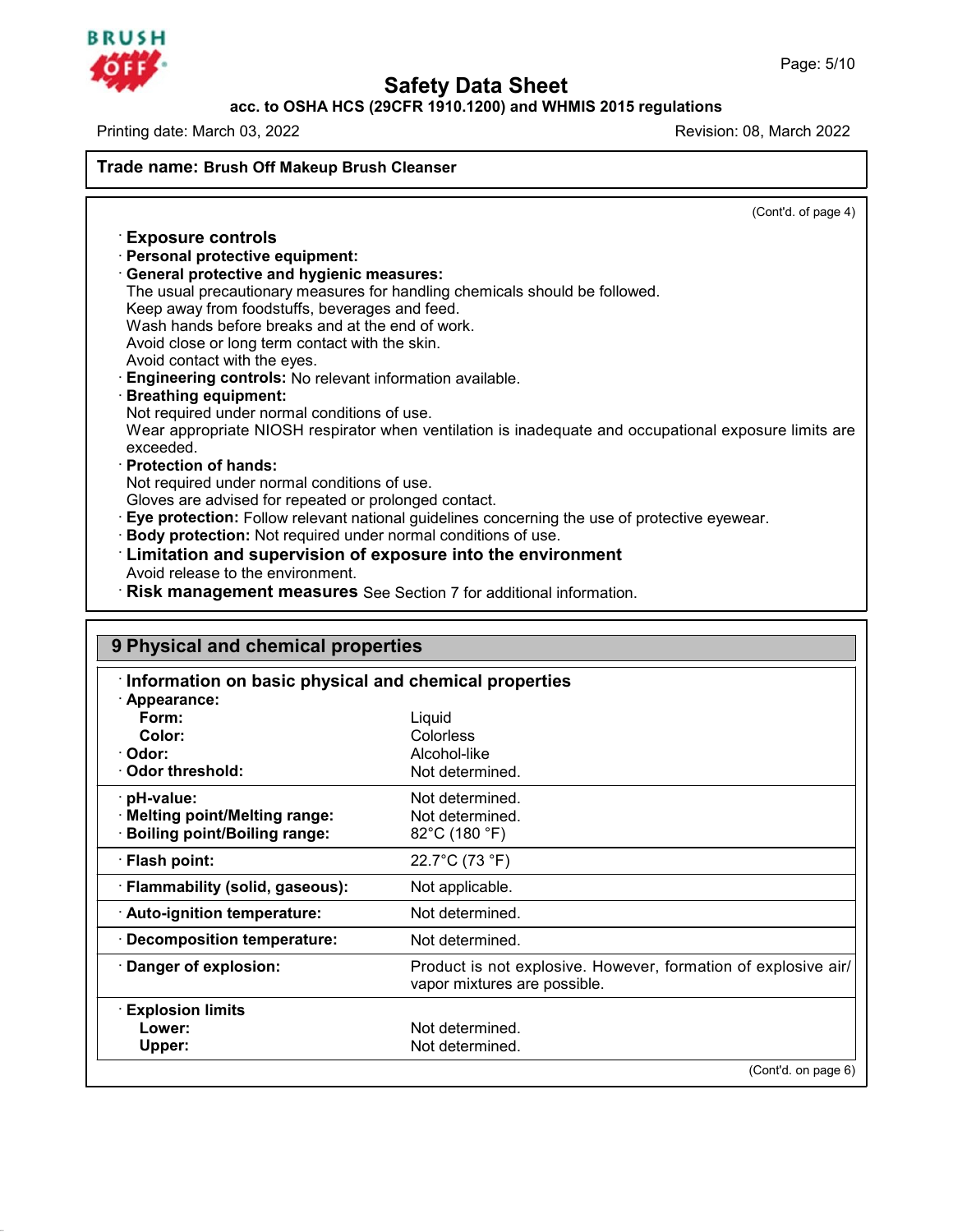

45.2.2

# **Safety Data Sheet acc. to OSHA HCS (29CFR 1910.1200) and WHMIS 2015 regulations**

Printing date: March 03, 2022 **Printing date: March 03, 2022** 

**Safety Data S**<br> **Recession CODE ACTS (29 CFR 1910.1200) and Printing date:** March 03, 2022<br> **Trade name: Brush Off Makeup Brush Cleanser Trade name: Brush Off Makeup Brush Cleanser** 

| Trade name: Brush Off Makeup Brush Cleanser      |                                                                                                       |
|--------------------------------------------------|-------------------------------------------------------------------------------------------------------|
|                                                  | (Cont'd. of page 4)                                                                                   |
| <b>Exposure controls</b>                         |                                                                                                       |
| · Personal protective equipment:                 |                                                                                                       |
| <b>General protective and hygienic measures:</b> |                                                                                                       |
|                                                  | The usual precautionary measures for handling chemicals should be followed.                           |
| Keep away from foodstuffs, beverages and feed.   |                                                                                                       |
| Wash hands before breaks and at the end of work. |                                                                                                       |
| Avoid close or long term contact with the skin.  |                                                                                                       |
| Avoid contact with the eyes.                     |                                                                                                       |
|                                                  | Engineering controls: No relevant information available.                                              |
| <b>Breathing equipment:</b>                      |                                                                                                       |
| Not required under normal conditions of use.     |                                                                                                       |
|                                                  | Wear appropriate NIOSH respirator when ventilation is inadequate and occupational exposure limits are |
| exceeded.                                        |                                                                                                       |
| · Protection of hands:                           |                                                                                                       |
| Not required under normal conditions of use.     |                                                                                                       |
|                                                  | Gloves are advised for repeated or prolonged contact.                                                 |
|                                                  | Eye protection: Follow relevant national guidelines concerning the use of protective eyewear.         |
|                                                  | Body protection: Not required under normal conditions of use.                                         |
|                                                  | Limitation and supervision of exposure into the environment                                           |
| Avoid release to the environment.                |                                                                                                       |
|                                                  | Risk management measures See Section 7 for additional information.                                    |
|                                                  |                                                                                                       |
| 9 Physical and chemical properties               |                                                                                                       |
|                                                  | Information on basic physical and chemical properties                                                 |
| · Appearance:                                    |                                                                                                       |
| Form:                                            | Liquid                                                                                                |
| Color:                                           | Colorless                                                                                             |
| $\sim$ $\sim$ $\sim$                             | $A = -1$ $A = 1$                                                                                      |

| Appearance:                         |                                                                                                |
|-------------------------------------|------------------------------------------------------------------------------------------------|
| Form:                               | Liquid                                                                                         |
| Color:                              | Colorless                                                                                      |
| Odor:                               | Alcohol-like                                                                                   |
| Odor threshold:                     | Not determined.                                                                                |
| · pH-value:                         | Not determined.                                                                                |
| <b>Melting point/Melting range:</b> | Not determined.                                                                                |
| <b>Boiling point/Boiling range:</b> | $82^{\circ}$ C (180 $^{\circ}$ F)                                                              |
| · Flash point:                      | 22.7°C (73 °F)                                                                                 |
| · Flammability (solid, gaseous):    | Not applicable.                                                                                |
| · Auto-ignition temperature:        | Not determined.                                                                                |
| <b>Decomposition temperature:</b>   | Not determined.                                                                                |
| Danger of explosion:                | Product is not explosive. However, formation of explosive air/<br>vapor mixtures are possible. |
| <b>Explosion limits</b>             |                                                                                                |
| Lower:                              | Not determined.                                                                                |
| Upper:                              | Not determined.                                                                                |
|                                     | (Cont'd. on page 6)                                                                            |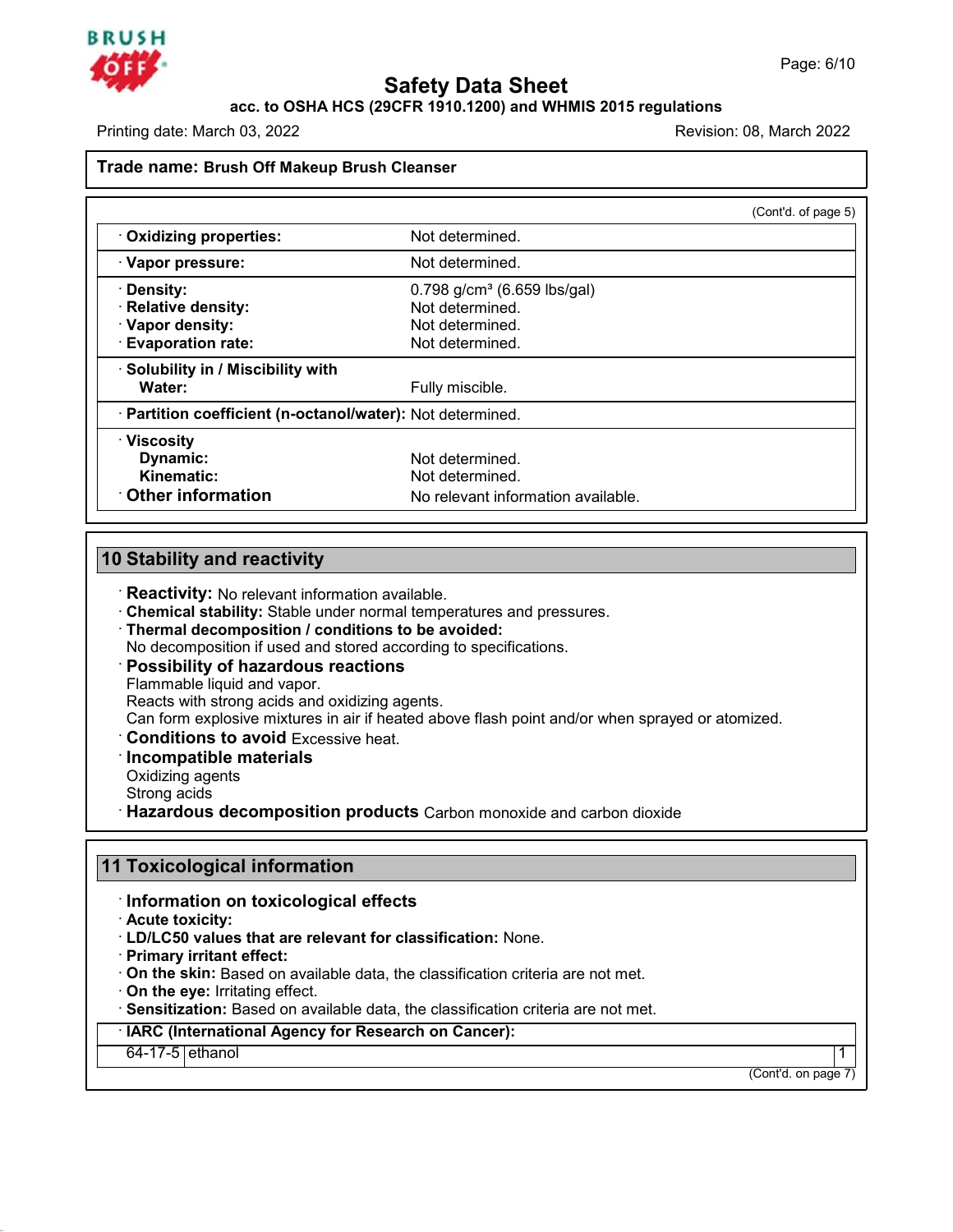

### **Safety Data Sheet<br>PCFR 1910.1200) and WHMIS 2015 regulat<br>Re** Page: 6/10<br>**acc. to OSHA HCS (29CFR 1910.1200) and WHMIS 2015 regulations**<br>Revision: 08. March 2022

Printing date: March 03, 2022

## **Safety Data S**<br> **Recession CODE ACTS (29 CFR 1910.1200) and Printing date:** March 03, 2022<br> **Trade name: Brush Off Makeup Brush Cleanser**

|                                                            |                                         | (Cont'd. of page 5) |
|------------------------------------------------------------|-----------------------------------------|---------------------|
| Oxidizing properties:                                      | Not determined.                         |                     |
| · Vapor pressure:                                          | Not determined.                         |                     |
| · Density:                                                 | 0.798 g/cm <sup>3</sup> (6.659 lbs/gal) |                     |
| · Relative density:                                        | Not determined.                         |                     |
| · Vapor density:                                           | Not determined.                         |                     |
| · Evaporation rate:                                        | Not determined.                         |                     |
| · Solubility in / Miscibility with                         |                                         |                     |
| Water:                                                     | Fully miscible.                         |                     |
| · Partition coefficient (n-octanol/water): Not determined. |                                         |                     |
| · Viscosity                                                |                                         |                     |
| Dynamic:                                                   | Not determined.                         |                     |
| Kinematic:                                                 | Not determined.                         |                     |
| Other information                                          | No relevant information available.      |                     |

**10 Stability and reactivity**<br> **10 Stability:** No relevant information available.<br> **10 Chemical stability:** Stable under normal temperatures and pressures. **Constitutive Stability and reactivity**<br> **Exectivity:** No relevant information available.<br> **• Chemical stability:** Stable under normal temperatures and pressures.<br>
• **Thermal decomposition / conditions to be avoided:**<br>
• **Reactivity:** No relevant information available.<br> **Chemical stability:** Stable under normal temperatures and pressure:<br> **Thermal decomposition / conditions to be avoided:**<br>
No decomposition if used and stored according to

Thermal decomposition / conditions to be avoided:<br>No decomposition if used and stored according to specifications.<br>Possibility of hazardous reactions<br>Flammable liquid and vapor.<br>Reacts with strong acids and oxidizing agent Chemical stability: Stable under normal temperatures are<br>Thermal decomposition / conditions to be avoided:<br>No decomposition if used and stored according to specific<br>Possibility of hazardous reactions<br>Flammable liquid and v

**Can form explosive mixtures in and stored above flash point and/or when sprayed or atomized.**<br> **Can form explosive mixtures in air if heated above flash point and/or when sprayed or atomized.**<br> **Reacts with strong acids a** Flammable liquid and vapor.<br>Reacts with strong acids and<br>Can form explosive mixtures<br>**Conditions to avoid** Exce<br>**Incompatible materials**<br>Oxidizing agents<br>Strong acids<br>Hazardous docomposities Reacts with strong actors a<br>Can form explosive mixture<br>**Conditions to avoid** Ex<br>**Incompatible material:**<br>Oxidizing agents<br>Strong acids<br>**Hazardous decompos** 

Can form explosive mixtures in air if heated above flash point and/or when sprayed or atomized Conditions to avoid Excessive heat.<br>
<br> **Conditions to avoid Excessive heat.**<br>
<br> **Conditions decomposition conducts** Carbon mono Incompatible materials<br>
Oxidizing agents<br>
Strong acids<br> **11 Toxicological information<br>
Information on toxicological effects Example 3 Composition products** Carbon monstrand the composition on toxicological effects<br> **Information on toxicological effects**<br> **Composition - Acute toxicity:**<br> **CD/LC50 values that are relevant for classification:** 

- 
- **11 Toxicological information<br>
Information on toxicological effects<br>
Acute toxicity:<br>
LD/LC50 values that are relevant for classification: None.<br>
Primary irritant effect:** 
	-
	- **On the skin:** Based on available data, the classification criteria are not met. **On the eye:** Irritating effect.
	-

Information on toxicological effects<br>
- Acute toxicity:<br>
- LD/LC50 values that are relevant for classification: None.<br>
- Primary irritant effect:<br>
- On the skin: Based on available data, the classification criteria are not On the skin: Based on available data, the classification criteria are not met.<br>
On the eye: Irritating effect.<br>
Sensitization: Based on available data, the classification criteria are not met.<br>
IARC (International Agency f

45.2.2

 $\begin{array}{|c|c|}\n\hline\n\text{(Cont'd. on page 7)}\n\hline\n\end{array}$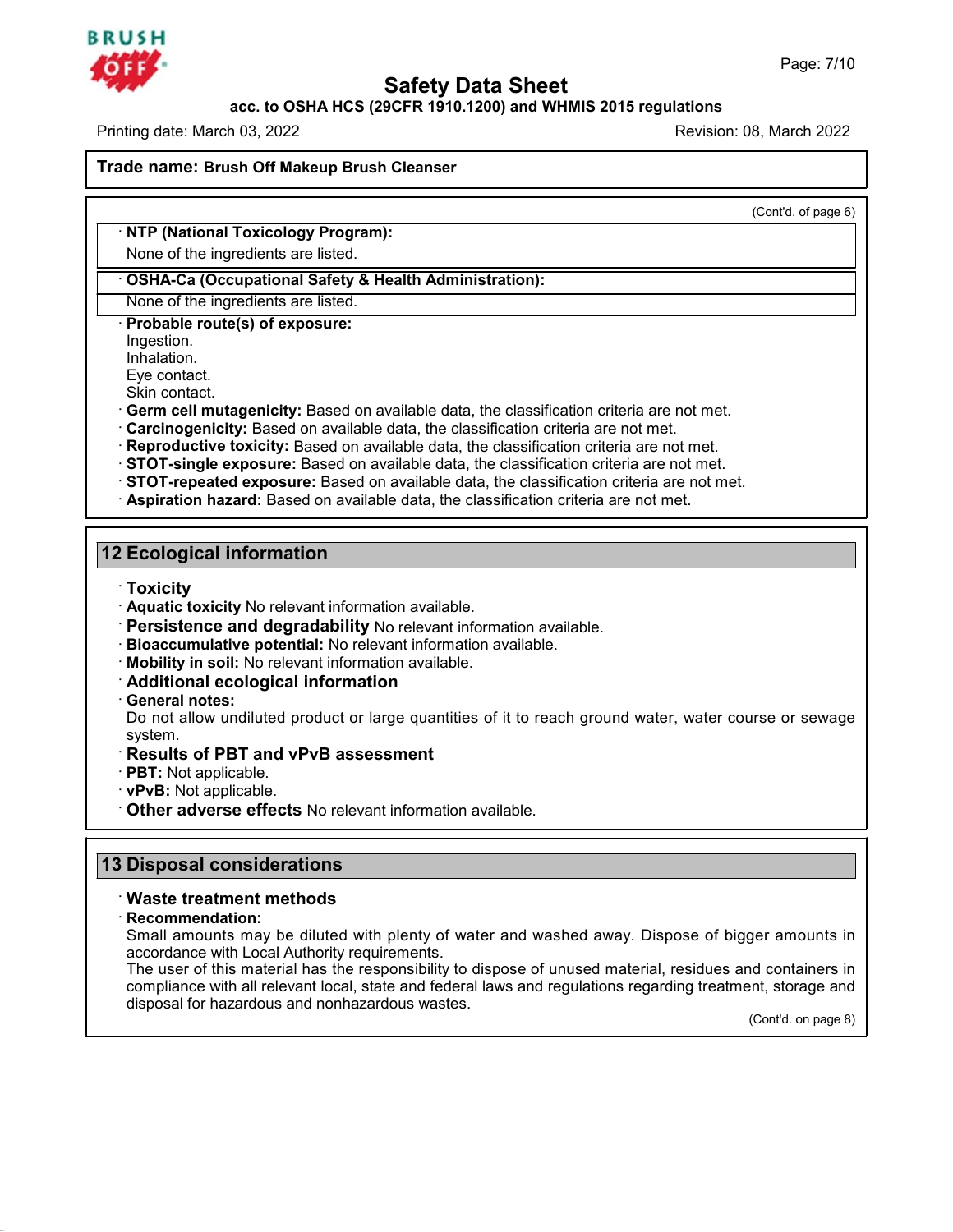

**Safety Data Sheet<br>PCFR 1910.1200) and WHMIS 2015 regulat<br>Re** Page: 7/10<br>**acc. to OSHA HCS (29CFR 1910.1200) and WHMIS 2015 regulations**<br>Revision: 08. March 2022

Printing date: March 03, 2022

**Safety Data S**<br> **Recession CODE ACTS (29 CFR 1910.1200) and Printing date:** March 03, 2022<br> **Trade name: Brush Off Makeup Brush Cleanser** Trade name: Brush Off Makeup Brush Cleanser<br>
NTP (National Toxicology Program):<br>
None of the ingredients are listed.

(Cont'd. of page 6)

### **Example: Brush Off Makeup Brush Cleanser**<br>
• **NTP (National Toxicology Program):**<br>
• None of the ingredients are listed.<br>
• **OSHA-Ca (Occupational Safety & Health Administration):**<br>
• None of the ingredients are listed. **OSHA-Ca (Occupational Safety & Health Administration):**<br>None of the ingredients are listed.<br>**· Probable route(s) of exposure:**

Ingestion.

Inhalation.<br>Eve contact.

None of the ingredients are listed.<br> **Probable route(s) of exposure:**<br>
Ingestion.<br>
Inhalation.<br>
Eye contact.<br>
Skin contact.<br> **Germ cell mutagenicity:** Based on available data, the classification criteria are not met.

- 
- 
- 
- Frobable route(s) of exposure:<br>
Inpastion.<br>
Inhalation.<br>
Eye contact.<br>
Skin contact.<br>
Skin contact.<br>
Skin contact.<br>
Cerrm cell mutagenicity: Based on available data, the classification criteria are not met.<br>
Carcinogenicit
- **12 Ecological information<br>
12 Ecological information<br>
12 Ecological information<br>
13 Ecological information<br>
13 Ecological information<br>
13 Ecological information<br>
13 Toxicity**

- · **Toxicity**
- **Persistence and degradability** No relevant information available.<br> **Bioaccumulative potential:** No relevant information available.<br> **Mobility in soil:** No relevant information available.<br> **Additional ecological informatio**
- 
- 
- 

Prices and **Consert Conservation**<br>
Conservation<br>
Conservation and **Conservation**<br>
Conservation and **Conservation**<br>
Conservation and **Conservation**<br>
Conservation and Conservation<br>
Conservation<br>
Conservation and Conservation Persistence and degradability No relevant information available.<br>Bioaccumulative potential: No relevant information available.<br>Mobility in soil: No relevant information<br>Additional ecological information<br>General notes:<br>Do n system.<br>**∵Results of PBT and vPvB assessment Example 15 Solutional ecological information available.**<br> **Additional ecological information**<br> **Ceneral notes:**<br>
Do not allow undiluted product or large quantities<br>
system.<br> **Results of PBT and vPvB assessment**<br> **PBT:** No • **PRT:** Not applicable. • **PPT:** Not applicable. • **PPT:** Not applicable. • **PBT:** Not applicable. • **PBT:** Not applicable. • **PBT:** Not applicable. • **PBT:** Not applicable. • **Other adverse effects** No relevant informati

- 
- 
- 

**13 Disposal considerations**<br> **13 Disposal considerations**<br> **13 Disposal considerations**<br> **13 Disposal considerations**<br> **13 Disposal considerations** • Other adverse effects No relevant information<br> **B Disposal considerations<br>
• Waste treatment methods<br>
• Recommendation:<br>
• Small amounts may be diluted with ple** 

### · **Recommendation:**

45.2.2

**Disposal considerations<br>Waste treatment methods<br>Recommendation:**<br>Small amounts may be diluted with plenty of water and washed away. Dispose of bigger amounts in<br>accordance with Local Authority requirements.<br>The user of th **Disposal considerations<br>Waste treatment methods<br>Recommendation:**<br>Small amounts may be diluted with plenty of wat<br>accordance with Local Authority requirements.<br>The user of this material has the responsibility to compliance

Waste treatment methods<br>
Recommendation:<br>
Small amounts may be diluted with plenty of water and washed away. Dispose of bigger amounts in<br>
accordance with Local Authority requirements.<br>
The user of this material has the re Waste treatment methods<br>Recommendation:<br>Small amounts may be diluted with plenty of water and washed away. Dispose of bigger amounts in<br>accordance with Local Authority requirements.<br>The user of this material has the respon **Recommendation:**<br>Small amounts may be diluted with plenty of water and was<br>accordance with Local Authority requirements.<br>The user of this material has the responsibility to dispose of<br>compliance with all relevant local, s nd containers in<br>ent, storage and<br>(Cont'd. on page 8)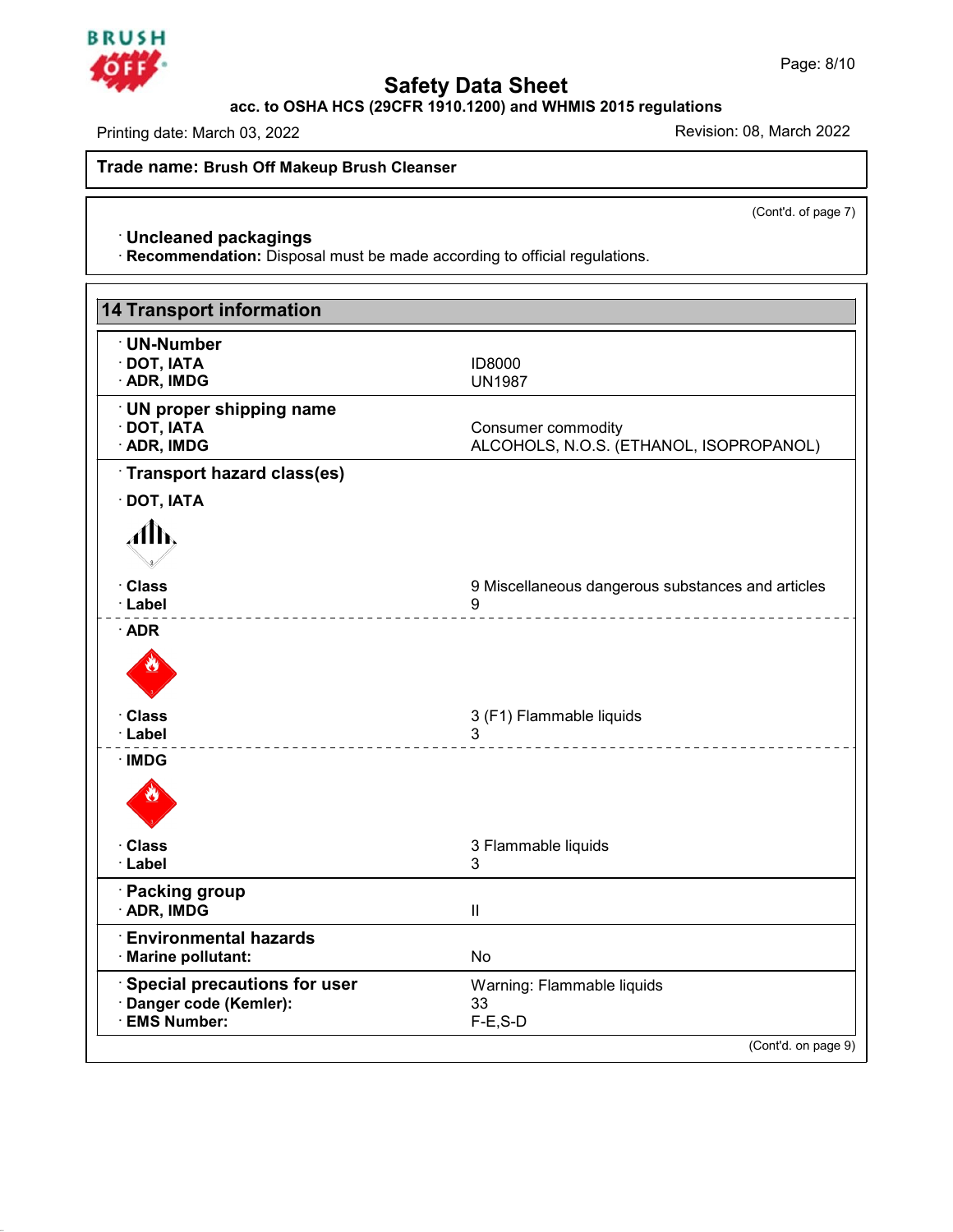

**Safety Data Sheet acc. to OSHA HCS (29CFR 1910.1200) and WHMIS 2015 regulations**

Printing date: March 03, 2022 **Printing date: March 03, 2022** 

**Safety Data S**<br> **Recession COVER 1910.1200** and Printing date: March 03, 2022<br> **Trade name: Brush Off Makeup Brush Cleanser** 

(Cont'd. of page 7)

**ade name: Brush Off Makeup Brush Cleanser**<br>
· **Uncleaned packagings**<br>
· **Recommendation:** Disposal must be made according to official regulations.

| <b>Uncleaned packagings</b><br>· Recommendation: Disposal must be made according to official regulations. |                                                        |  |  |
|-----------------------------------------------------------------------------------------------------------|--------------------------------------------------------|--|--|
|                                                                                                           |                                                        |  |  |
|                                                                                                           |                                                        |  |  |
| <b>14 Transport information</b>                                                                           |                                                        |  |  |
| · UN-Number                                                                                               |                                                        |  |  |
| · DOT, IATA<br>· ADR, IMDG                                                                                | ID8000<br><b>UN1987</b>                                |  |  |
| <b>UN proper shipping name</b>                                                                            |                                                        |  |  |
| · DOT, IATA                                                                                               | Consumer commodity                                     |  |  |
| · ADR, IMDG                                                                                               | ALCOHOLS, N.O.S. (ETHANOL, ISOPROPANOL)                |  |  |
| Transport hazard class(es)                                                                                |                                                        |  |  |
| $\cdot$ DOT, IATA                                                                                         |                                                        |  |  |
| Alb.                                                                                                      |                                                        |  |  |
| · Class                                                                                                   |                                                        |  |  |
| · Label                                                                                                   | 9 Miscellaneous dangerous substances and articles<br>9 |  |  |
| $\cdot$ ADR                                                                                               | _ _ _ _ _ _ _ _ _ _ _ _ _ _ _ _ _ _                    |  |  |
|                                                                                                           |                                                        |  |  |
| · Class                                                                                                   | 3 (F1) Flammable liquids                               |  |  |
| · Label                                                                                                   | 3<br><u>.</u>                                          |  |  |
| $\cdot$ IMDG                                                                                              |                                                        |  |  |
|                                                                                                           |                                                        |  |  |
| · Class                                                                                                   | 3 Flammable liquids                                    |  |  |
| · Label                                                                                                   | 3                                                      |  |  |
| · Packing group                                                                                           |                                                        |  |  |
| · ADR, IMDG                                                                                               | Ш                                                      |  |  |
| <b>Environmental hazards</b>                                                                              |                                                        |  |  |
| · Marine pollutant:                                                                                       | No                                                     |  |  |
| Special precautions for user<br>· Danger code (Kemler):                                                   | Warning: Flammable liquids<br>33                       |  |  |
| <b>EMS Number:</b>                                                                                        | $F-E$ , S-D                                            |  |  |



45.2.2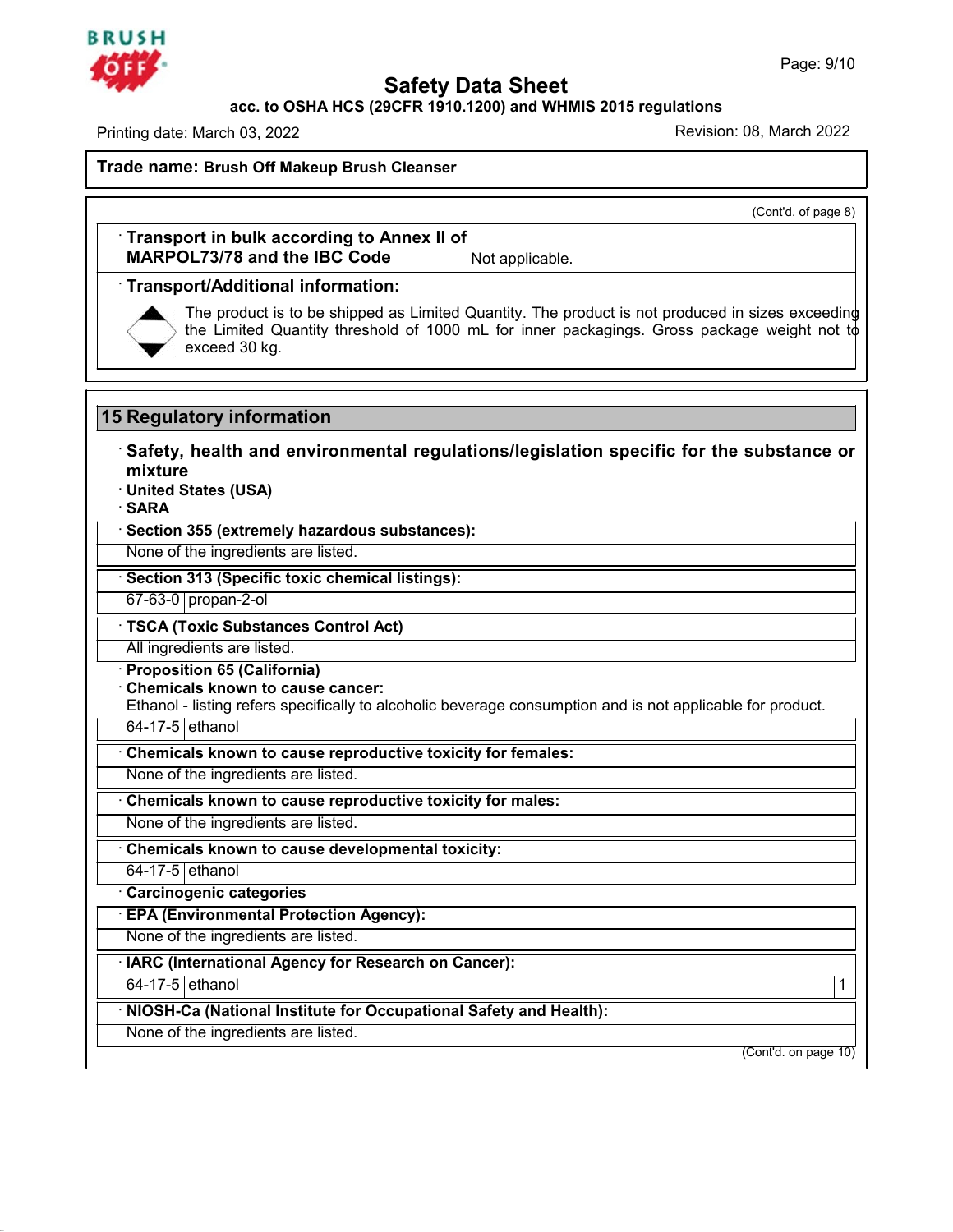### **BRUSH**

**Safety Data Sheet<br>PCFR 1910.1200) and WHMIS 2015 regulat<br>Re** Page: 9/10<br>**acc. to OSHA HCS (29CFR 1910.1200) and WHMIS 2015 regulations**<br>Revision: 08. March 2022

Printing date: March 03, 2022

**Safety Data S**<br> **Recession 2022**<br> **Trade name:** Brush Off Makeup Brush Cleanser<br> **Brush Off Makeup Brush Cleanser** 

(Cont'd. of page 8)

ade name: Brush Off Makeup Brush Cleanser<br>
Transport in bulk according to Annex II of<br>
MARPOL73/78 and the IBC Code Not applicable. **MARPOL73/78 and the IBC Code**<br> **MARPOL73/78 and the IBC Code** Not applicable.<br>
• **Transport/Additional information:**<br>
• The product is to be shipped as Limited Quantity. The product is the Limited Quantity threshold of 10



The product is to be shipped as Limited Quantity. The product is not produced in sizes exceeding the Limited Quantity threshold of 1000 mL for inner packagings. Gross package weight not to exceed 30 kg. The product is to be shipped as L<br>the Limited Quantity threshold of<br>exceed 30 kg.<br>**15 Regulatory information**<br>Safety, health and environmental

**Example 15 Augulatory information**<br>• Safety, health and environmental regulations/legislation specific for the substance or<br>• United States (USA) **mixture** 15 Regulatory information<br>
· Safety, health and environmental regulati<br>
mixture<br>
· United States (USA)<br>
· SARA<br>
<u>· Section 355 (extremely hazardous substances)</u>: **• Safety, health and environmental regulations/legislation specific for the substance or**<br>• United States (USA)<br>• SARA<br>• Section 355 (extremely hazardous substances):<br>None of the ingredients are listed.<br>• Section 313 (Sp Mixture<br>
None of the ingredients are listed.<br>
• Section 355 (extremely hazardous substances):<br>
• None of the ingredients are listed.<br>
• Section 313 (Specific toxic chemical listings):<br>
• 67-63-0 propan-2-ol

· **SARA**

## **Example 1975-0 propan-2-ol · TSCA (Toxic Substances):**<br> **Example 1976-0 propan-2-ol**<br> **EXA (Toxic Substances Control Act)**<br>
All ingredients are listed.

**Example 313 (Specific toxic chemical 67-63-0** propan-2-ol<br> **TSCA (Toxic Substances Control A**<br> **All ingredients are listed.**<br> **Proposition 65 (California)**<br> **Chemicals known to cause cancer:**<br>
Ethanol - listing refers spe

<sup>o</sup> 75CA (Toxic Substances Control Act)<br>
<sup>-</sup> TSCA (Toxic Substances Control Act)<br>
<sup>-</sup> Proposition 65 (California)<br>
- Chemicals known to cause cancer:<br>
Ethanol - listing refers specifically to alcoholic be TSCA (Toxic Substances Control Act)<br>All ingredients are listed.<br>Proposition 65 (California)<br>Chemicals known to cause cancer:<br>Ethanol - listing refers specifically to alcoholic beverage consumption and is not applicable for All ingredients are listed.<br> **Proposition 65 (California)**<br> **Chemicals known to cause cancer:**<br>
Ethanol - listing refers specifically to alcoholic beverage consumption and is<br>
<del>64-17-5 ethanol<br> **Chemicals known to cause re</del>** • Chemicals known to cause cancer:<br>
Ethanol - listing refers specifically to alcoholic beverage consumption and is<br>
<del>64-17-5 ethanol<br>
• Chemicals known to cause reproductive toxicity for females:<br>
• None of the ingredients</del>

64-17-5 ethanol<br>
• Chemicals known to cause reproductive toxicity for females:<br>
None of the ingredients are listed.<br>
• Chemicals known to cause reproductive toxicity for males:<br>
• None of the ingredients are listed.<br>
• Che

• Chemicals known to cause developmental toxicity:<br>
<del>• G4-17-5 ethanol</del><br>
• Carcinogenic categories<br>
• EPA (Environmental Protection Agency):<br>
None of the ingredients are listed.<br>
• IARC (International Agency for Research o

**EPA (Environmental Protection Agency):**<br>None of the ingredients are listed.

One of the ingredients are developmental toxicity:<br>
Carcinogenic categories<br>
• **EPA (Environmental Protection Agency):**<br>
• None of the ingredients are listed.<br>
• **IARC (International Agency for Research on Cancer):**<br>
• 64-

45.2.2

EPA (Environmental Protection Agency):<br>
None of the ingredients are listed.<br>
IARC (International Agency for Research on Cancer):<br>
64-17-5 ethanol (International Institute for Occupational Safety and Health): None of the ingredients are listed.<br> **EXEC (International Agency for Research on Cancer):**<br>
64-17-5 ethanol<br> **NIOSH-Ca (National Institute for Occupational Safety and Health):**<br>
None of the ingredients are listed. None of the ingredients are listed.<br>
IARC (International Agency for Research on<br>
64-17-5 ethanol<br>
NIOSH-Ca (National Institute for Occupation<br>
None of the ingredients are listed.

 $\begin{array}{c|c} \hline \text{(Cont'd. on page 10)}\\ \hline \end{array}$